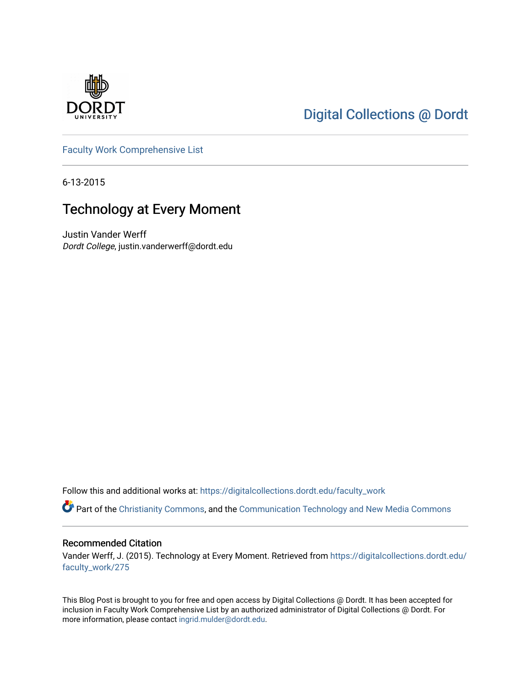

# [Digital Collections @ Dordt](https://digitalcollections.dordt.edu/)

[Faculty Work Comprehensive List](https://digitalcollections.dordt.edu/faculty_work)

6-13-2015

## Technology at Every Moment

Justin Vander Werff Dordt College, justin.vanderwerff@dordt.edu

Follow this and additional works at: [https://digitalcollections.dordt.edu/faculty\\_work](https://digitalcollections.dordt.edu/faculty_work?utm_source=digitalcollections.dordt.edu%2Ffaculty_work%2F275&utm_medium=PDF&utm_campaign=PDFCoverPages) 

Part of the [Christianity Commons,](http://network.bepress.com/hgg/discipline/1181?utm_source=digitalcollections.dordt.edu%2Ffaculty_work%2F275&utm_medium=PDF&utm_campaign=PDFCoverPages) and the Communication Technology and New Media Commons

#### Recommended Citation

Vander Werff, J. (2015). Technology at Every Moment. Retrieved from [https://digitalcollections.dordt.edu/](https://digitalcollections.dordt.edu/faculty_work/275?utm_source=digitalcollections.dordt.edu%2Ffaculty_work%2F275&utm_medium=PDF&utm_campaign=PDFCoverPages) [faculty\\_work/275](https://digitalcollections.dordt.edu/faculty_work/275?utm_source=digitalcollections.dordt.edu%2Ffaculty_work%2F275&utm_medium=PDF&utm_campaign=PDFCoverPages)

This Blog Post is brought to you for free and open access by Digital Collections @ Dordt. It has been accepted for inclusion in Faculty Work Comprehensive List by an authorized administrator of Digital Collections @ Dordt. For more information, please contact [ingrid.mulder@dordt.edu.](mailto:ingrid.mulder@dordt.edu)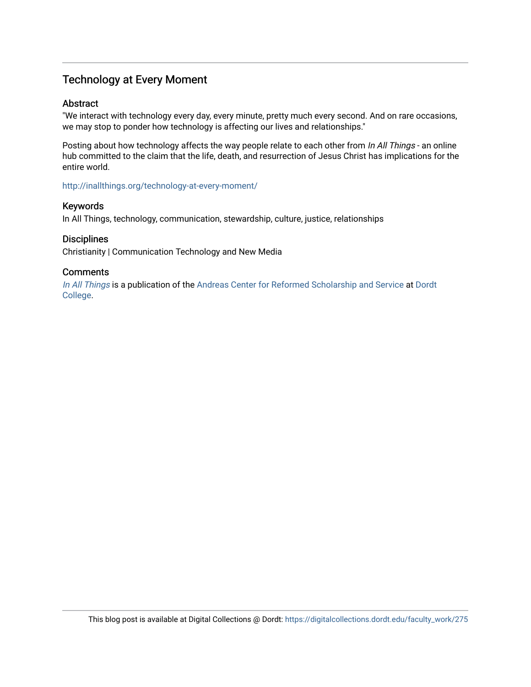## Technology at Every Moment

#### Abstract

"We interact with technology every day, every minute, pretty much every second. And on rare occasions, we may stop to ponder how technology is affecting our lives and relationships."

Posting about how technology affects the way people relate to each other from In All Things - an online hub committed to the claim that the life, death, and resurrection of Jesus Christ has implications for the entire world.

<http://inallthings.org/technology-at-every-moment/>

#### Keywords

In All Things, technology, communication, stewardship, culture, justice, relationships

#### **Disciplines**

Christianity | Communication Technology and New Media

#### **Comments**

[In All Things](http://inallthings.org/) is a publication of the [Andreas Center for Reformed Scholarship and Service](http://www.dordt.edu/services_support/andreas_center/) at Dordt [College](http://www.dordt.edu/).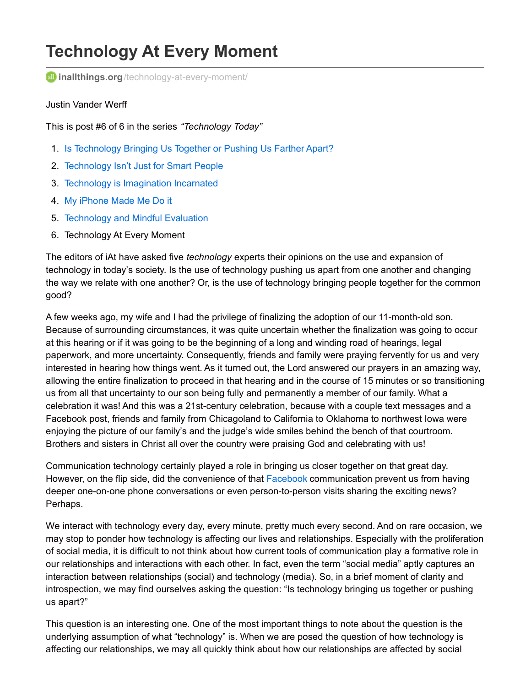# **Technology At Every Moment**

**all inallthings.org**[/technology-at-every-moment/](http://inallthings.org/technology-at-every-moment/)

#### Justin Vander Werff

This is post #6 of 6 in the series *"Technology Today"*

- 1. Is [Technology](http://inallthings.org/is-technology-bringing-us-together-or-pushing-us-farther-apart/) Bringing Us Together or Pushing Us Farther Apart?
- 2. [Technology](http://inallthings.org/technology-isnt-just-for-smart-people/) Isn't Just for Smart People
- 3. Technology is [Imagination](http://inallthings.org/technology-is-imagination-incarnated/) Incarnated
- 4. My [iPhone](http://inallthings.org/my-iphone-made-me-do-it/) Made Me Do it
- 5. [Technology](http://inallthings.org/technology-and-mindful-evaluation/) and Mindful Evaluation
- 6. Technology At Every Moment

The editors of iAt have asked five *technology* experts their opinions on the use and expansion of technology in today's society. Is the use of technology pushing us apart from one another and changing the way we relate with one another? Or, is the use of technology bringing people together for the common good?

A few weeks ago, my wife and I had the privilege of finalizing the adoption of our 11-month-old son. Because of surrounding circumstances, it was quite uncertain whether the finalization was going to occur at this hearing or if it was going to be the beginning of a long and winding road of hearings, legal paperwork, and more uncertainty. Consequently, friends and family were praying fervently for us and very interested in hearing how things went. As it turned out, the Lord answered our prayers in an amazing way, allowing the entire finalization to proceed in that hearing and in the course of 15 minutes or so transitioning us from all that uncertainty to our son being fully and permanently a member of our family. What a celebration it was! And this was a 21st-century celebration, because with a couple text messages and a Facebook post, friends and family from Chicagoland to California to Oklahoma to northwest Iowa were enjoying the picture of our family's and the judge's wide smiles behind the bench of that courtroom. Brothers and sisters in Christ all over the country were praising God and celebrating with us!

Communication technology certainly played a role in bringing us closer together on that great day. However, on the flip side, did the convenience of that [Facebook](http://inallthings.org/technology-at-every-moment/www.facebook.com) communication prevent us from having deeper one-on-one phone conversations or even person-to-person visits sharing the exciting news? Perhaps.

We interact with technology every day, every minute, pretty much every second. And on rare occasion, we may stop to ponder how technology is affecting our lives and relationships. Especially with the proliferation of social media, it is difficult to not think about how current tools of communication play a formative role in our relationships and interactions with each other. In fact, even the term "social media" aptly captures an interaction between relationships (social) and technology (media). So, in a brief moment of clarity and introspection, we may find ourselves asking the question: "Is technology bringing us together or pushing us apart?"

This question is an interesting one. One of the most important things to note about the question is the underlying assumption of what "technology" is. When we are posed the question of how technology is affecting our relationships, we may all quickly think about how our relationships are affected by social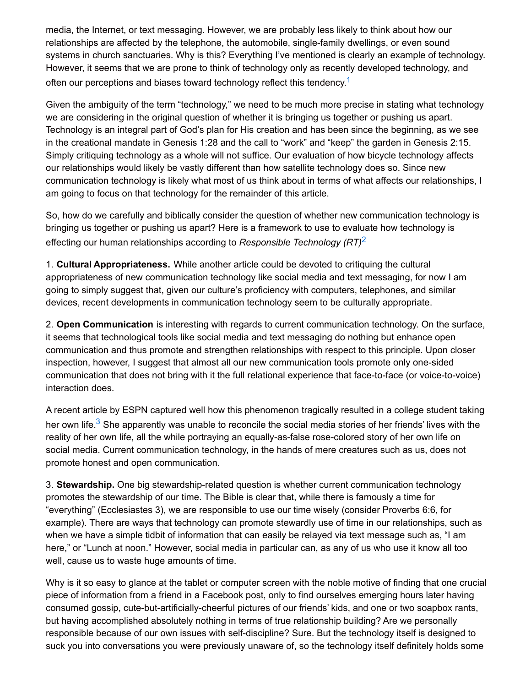media, the Internet, or text messaging. However, we are probably less likely to think about how our relationships are affected by the telephone, the automobile, single-family dwellings, or even sound systems in church sanctuaries. Why is this? Everything I've mentioned is clearly an example of technology. However, it seems that we are prone to think of technology only as recently developed technology, and often our perceptions and biases toward technology reflect this tendency.<sup>[1](http://inallthings.org/technology-at-every-moment/#fn1-4832)</sup>

Given the ambiguity of the term "technology," we need to be much more precise in stating what technology we are considering in the original question of whether it is bringing us together or pushing us apart. Technology is an integral part of God's plan for His creation and has been since the beginning, as we see in the creational mandate in Genesis 1:28 and the call to "work" and "keep" the garden in Genesis 2:15. Simply critiquing technology as a whole will not suffice. Our evaluation of how bicycle technology affects our relationships would likely be vastly different than how satellite technology does so. Since new communication technology is likely what most of us think about in terms of what affects our relationships, I am going to focus on that technology for the remainder of this article.

So, how do we carefully and biblically consider the question of whether new communication technology is bringing us together or pushing us apart? Here is a framework to use to evaluate how technology is effecting our human relationships according to *Responsible Technology (RT)* [2](http://inallthings.org/technology-at-every-moment/#fn2-4832)

1. **Cultural Appropriateness.** While another article could be devoted to critiquing the cultural appropriateness of new communication technology like social media and text messaging, for now I am going to simply suggest that, given our culture's proficiency with computers, telephones, and similar devices, recent developments in communication technology seem to be culturally appropriate.

2. **Open Communication** is interesting with regards to current communication technology. On the surface, it seems that technological tools like social media and text messaging do nothing but enhance open communication and thus promote and strengthen relationships with respect to this principle. Upon closer inspection, however, I suggest that almost all our new communication tools promote only one-sided communication that does not bring with it the full relational experience that face-to-face (or voice-to-voice) interaction does.

A recent article by ESPN captured well how this phenomenon tragically resulted in a college student taking her own life.<sup>[3](http://inallthings.org/technology-at-every-moment/#fn3-4832)</sup> She apparently was unable to reconcile the social media stories of her friends' lives with the reality of her own life, all the while portraying an equally-as-false rose-colored story of her own life on social media. Current communication technology, in the hands of mere creatures such as us, does not promote honest and open communication.

3. **Stewardship.** One big stewardship-related question is whether current communication technology promotes the stewardship of our time. The Bible is clear that, while there is famously a time for "everything" (Ecclesiastes 3), we are responsible to use our time wisely (consider Proverbs 6:6, for example). There are ways that technology can promote stewardly use of time in our relationships, such as when we have a simple tidbit of information that can easily be relayed via text message such as, "I am here," or "Lunch at noon." However, social media in particular can, as any of us who use it know all too well, cause us to waste huge amounts of time.

Why is it so easy to glance at the tablet or computer screen with the noble motive of finding that one crucial piece of information from a friend in a Facebook post, only to find ourselves emerging hours later having consumed gossip, cute-but-artificially-cheerful pictures of our friends' kids, and one or two soapbox rants, but having accomplished absolutely nothing in terms of true relationship building? Are we personally responsible because of our own issues with self-discipline? Sure. But the technology itself is designed to suck you into conversations you were previously unaware of, so the technology itself definitely holds some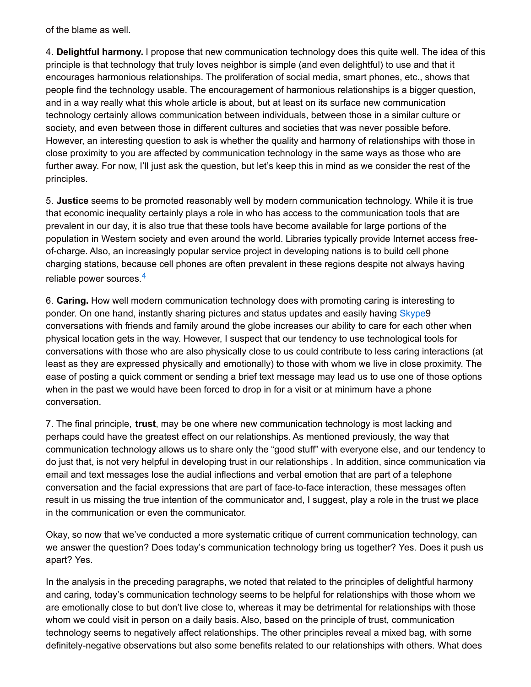of the blame as well.

4. **Delightful harmony.** I propose that new communication technology does this quite well. The idea of this principle is that technology that truly loves neighbor is simple (and even delightful) to use and that it encourages harmonious relationships. The proliferation of social media, smart phones, etc., shows that people find the technology usable. The encouragement of harmonious relationships is a bigger question, and in a way really what this whole article is about, but at least on its surface new communication technology certainly allows communication between individuals, between those in a similar culture or society, and even between those in different cultures and societies that was never possible before. However, an interesting question to ask is whether the quality and harmony of relationships with those in close proximity to you are affected by communication technology in the same ways as those who are further away. For now, I'll just ask the question, but let's keep this in mind as we consider the rest of the principles.

5. **Justice** seems to be promoted reasonably well by modern communication technology. While it is true that economic inequality certainly plays a role in who has access to the communication tools that are prevalent in our day, it is also true that these tools have become available for large portions of the population in Western society and even around the world. Libraries typically provide Internet access freeof-charge. Also, an increasingly popular service project in developing nations is to build cell phone charging stations, because cell phones are often prevalent in these regions despite not always having reliable power sources.<sup>[4](http://inallthings.org/technology-at-every-moment/#fn4-4832)</sup>

6. **Caring.** How well modern communication technology does with promoting caring is interesting to ponder. On one hand, instantly sharing pictures and status updates and easily having [Skype](http://inallthings.org/technology-at-every-moment/www.skype.com)9 conversations with friends and family around the globe increases our ability to care for each other when physical location gets in the way. However, I suspect that our tendency to use technological tools for conversations with those who are also physically close to us could contribute to less caring interactions (at least as they are expressed physically and emotionally) to those with whom we live in close proximity. The ease of posting a quick comment or sending a brief text message may lead us to use one of those options when in the past we would have been forced to drop in for a visit or at minimum have a phone conversation.

7. The final principle, **trust**, may be one where new communication technology is most lacking and perhaps could have the greatest effect on our relationships. As mentioned previously, the way that communication technology allows us to share only the "good stuff" with everyone else, and our tendency to do just that, is not very helpful in developing trust in our relationships . In addition, since communication via email and text messages lose the audial inflections and verbal emotion that are part of a telephone conversation and the facial expressions that are part of face-to-face interaction, these messages often result in us missing the true intention of the communicator and, I suggest, play a role in the trust we place in the communication or even the communicator.

Okay, so now that we've conducted a more systematic critique of current communication technology, can we answer the question? Does today's communication technology bring us together? Yes. Does it push us apart? Yes.

In the analysis in the preceding paragraphs, we noted that related to the principles of delightful harmony and caring, today's communication technology seems to be helpful for relationships with those whom we are emotionally close to but don't live close to, whereas it may be detrimental for relationships with those whom we could visit in person on a daily basis. Also, based on the principle of trust, communication technology seems to negatively affect relationships. The other principles reveal a mixed bag, with some definitely-negative observations but also some benefits related to our relationships with others. What does